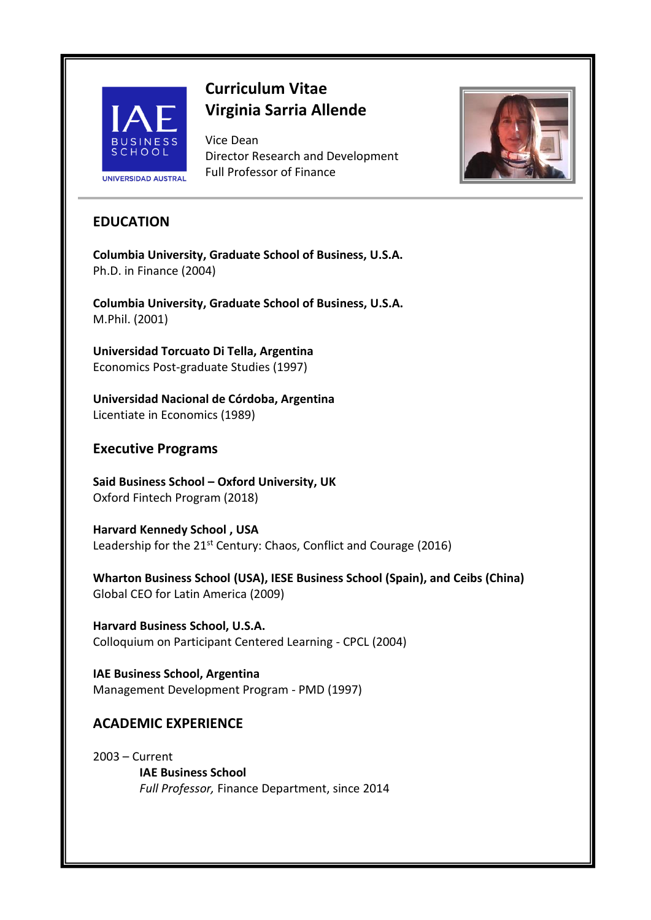

# **Curriculum Vitae Virginia Sarria Allende**

Vice Dean Director Research and Development Full Professor of Finance



# **EDUCATION**

**Columbia University, Graduate School of Business, U.S.A.** Ph.D. in Finance (2004)

**Columbia University, Graduate School of Business, U.S.A.** M.Phil. (2001)

**Universidad Torcuato Di Tella, Argentina** Economics Post-graduate Studies (1997)

**Universidad Nacional de Córdoba, Argentina** Licentiate in Economics (1989)

# **Executive Programs**

**Said Business School – Oxford University, UK** Oxford Fintech Program (2018)

**Harvard Kennedy School , USA** Leadership for the 21<sup>st</sup> Century: Chaos, Conflict and Courage (2016)

**Wharton Business School (USA), IESE Business School (Spain), and Ceibs (China)** Global CEO for Latin America (2009)

**Harvard Business School, U.S.A.** Colloquium on Participant Centered Learning - CPCL (2004)

**IAE Business School, Argentina** Management Development Program - PMD (1997)

# **ACADEMIC EXPERIENCE**

2003 – Current **IAE Business School** *Full Professor,* Finance Department, since 2014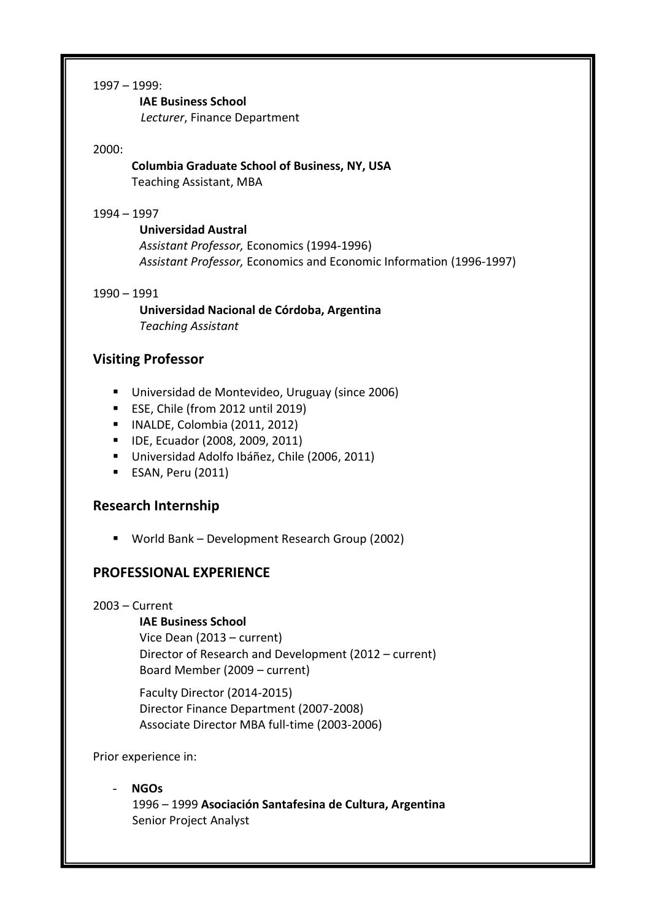#### 1997 – 1999:

**IAE Business School**

*Lecturer*, Finance Department

#### 2000:

### **Columbia Graduate School of Business, NY, USA** Teaching Assistant, MBA

#### 1994 – 1997

**Universidad Austral** *Assistant Professor,* Economics (1994-1996) *Assistant Professor,* Economics and Economic Information (1996-1997)

#### 1990 – 1991

**Universidad Nacional de Córdoba, Argentina** *Teaching Assistant*

# **Visiting Professor**

- Universidad de Montevideo, Uruguay (since 2006)
- ESE, Chile (from 2012 until 2019)
- INALDE, Colombia (2011, 2012)
- IDE, Ecuador (2008, 2009, 2011)
- Universidad Adolfo Ibáñez, Chile (2006, 2011)
- ESAN, Peru (2011)

### **Research Internship**

■ World Bank – Development Research Group (2002)

### **PROFESSIONAL EXPERIENCE**

#### 2003 – Current

#### **IAE Business School**

Vice Dean (2013 – current) Director of Research and Development (2012 – current) Board Member (2009 – current)

Faculty Director (2014-2015) Director Finance Department (2007-2008) Associate Director MBA full-time (2003-2006)

Prior experience in:

#### - **NGOs**  1996 – 1999 **Asociación Santafesina de Cultura, Argentina** Senior Project Analyst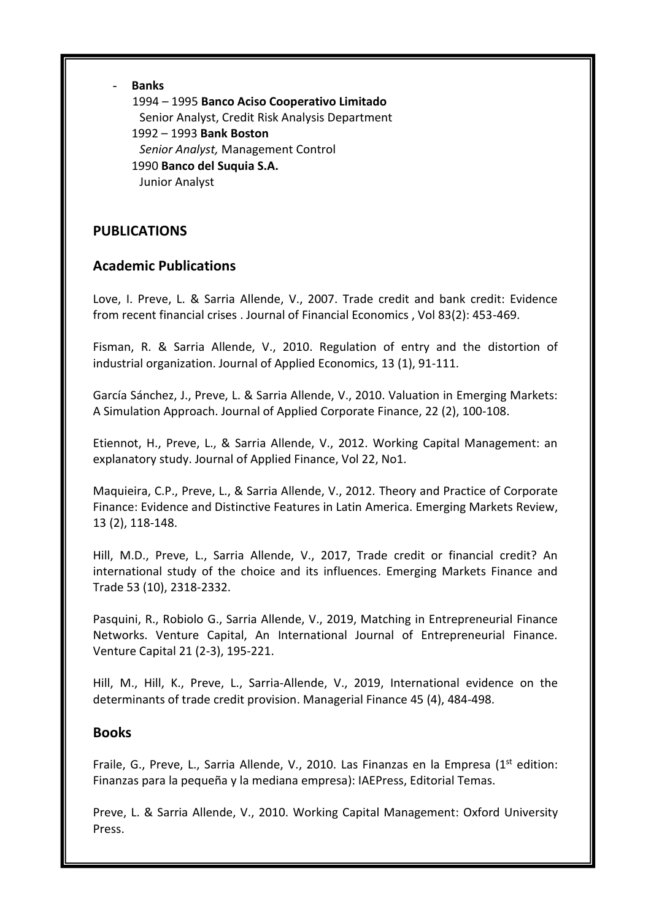#### - **Banks**

1994 – 1995 **Banco Aciso Cooperativo Limitado** Senior Analyst, Credit Risk Analysis Department 1992 – 1993 **Bank Boston** *Senior Analyst,* Management Control 1990 **Banco del Suquia S.A.** Junior Analyst

# **PUBLICATIONS**

# **Academic Publications**

Love, I. Preve, L. & Sarria Allende, V., 2007. Trade credit and bank credit: Evidence from recent financial crises . Journal of Financial Economics , Vol 83(2): 453-469.

Fisman, R. & Sarria Allende, V., 2010. Regulation of entry and the distortion of industrial organization. Journal of Applied Economics, 13 (1), 91-111.

García Sánchez, J., Preve, L. & Sarria Allende, V., 2010. Valuation in Emerging Markets: A Simulation Approach. Journal of Applied Corporate Finance, 22 (2), 100-108.

Etiennot, H., Preve, L., & Sarria Allende, V., 2012. Working Capital Management: an explanatory study. Journal of Applied Finance, Vol 22, No1.

Maquieira, C.P., Preve, L., & Sarria Allende, V., 2012. Theory and Practice of Corporate Finance: Evidence and Distinctive Features in Latin America. Emerging Markets Review, 13 (2), 118-148.

Hill, M.D., Preve, L., Sarria Allende, V., 2017, Trade credit or financial credit? An international study of the choice and its influences. Emerging Markets Finance and Trade 53 (10), 2318-2332.

Pasquini, R., Robiolo G., Sarria Allende, V., 2019, Matching in Entrepreneurial Finance Networks. Venture Capital, An International Journal of Entrepreneurial Finance. Venture Capital 21 (2-3), 195-221.

Hill, M., Hill, K., Preve, L., Sarria-Allende, V., 2019, [International evidence on the](javascript:void(0))  [determinants of trade credit provision.](javascript:void(0)) Managerial Finance 45 (4), 484-498.

# **Books**

Fraile, G., Preve, L., Sarria Allende, V., 2010. Las Finanzas en la Empresa (1<sup>st</sup> edition: Finanzas para la pequeña y la mediana empresa): IAEPress, Editorial Temas.

Preve, L. & Sarria Allende, V., 2010. Working Capital Management: Oxford University Press.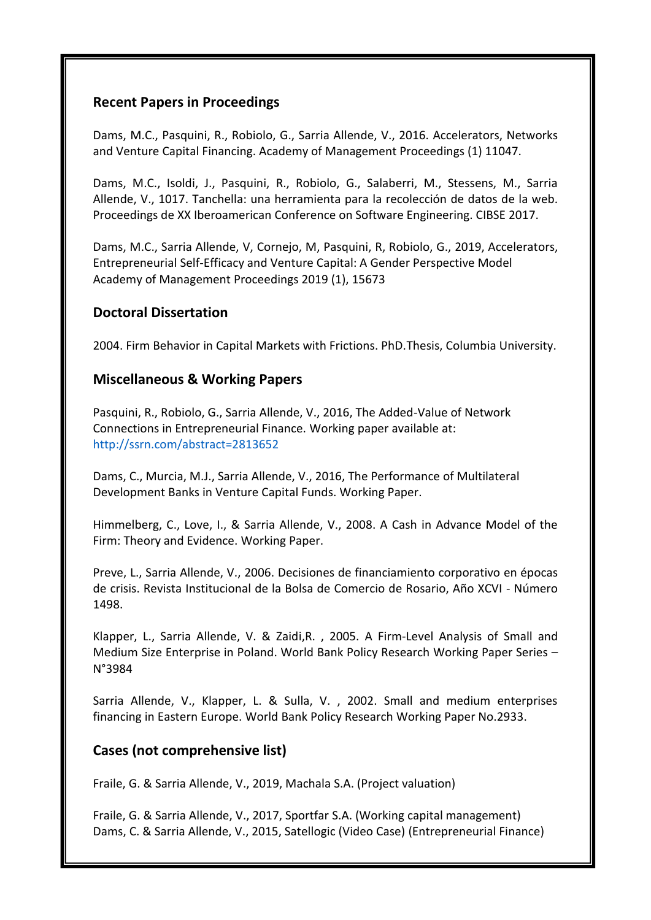# **Recent Papers in Proceedings**

Dams, M.C., Pasquini, R., Robiolo, G., Sarria Allende, V., 2016. Accelerators, Networks and Venture Capital Financing. Academy of Management Proceedings (1) 11047.

Dams, M.C., Isoldi, J., Pasquini, R., Robiolo, G., Salaberri, M., Stessens, M., Sarria Allende, V., 1017. Tanchella: una herramienta para la recolección de datos de la web. Proceedings de XX Iberoamerican Conference on Software Engineering. CIBSE 2017.

Dams, M.C., Sarria Allende, V, Cornejo, M, Pasquini, R, Robiolo, G., 2019, [Accelerators,](javascript:void(0))  [Entrepreneurial Self-Efficacy and Venture Capital: A Gender Perspective Model](javascript:void(0)) Academy of Management Proceedings 2019 (1), 15673

# **Doctoral Dissertation**

2004. Firm Behavior in Capital Markets with Frictions. PhD.Thesis, Columbia University.

# **Miscellaneous & Working Papers**

Pasquini, R., Robiolo, G., Sarria Allende, V., 2016, The Added-Value of Network Connections in Entrepreneurial Finance. Working paper available at: http://ssrn.com/abstract=2813652

Dams, C., Murcia, M.J., Sarria Allende, V., 2016, The Performance of Multilateral Development Banks in Venture Capital Funds. Working Paper.

Himmelberg, C., Love, I., & Sarria Allende, V., 2008. A Cash in Advance Model of the Firm: Theory and Evidence. Working Paper.

Preve, L., Sarria Allende, V., 2006. Decisiones de financiamiento corporativo en épocas de crisis. Revista Institucional de la Bolsa de Comercio de Rosario, Año XCVI - Número 1498.

Klapper, L., Sarria Allende, V. & Zaidi,R. , 2005. A Firm-Level Analysis of Small and Medium Size Enterprise in Poland. World Bank Policy Research Working Paper Series – N°3984

Sarria Allende, V., Klapper, L. & Sulla, V. , 2002. Small and medium enterprises financing in Eastern Europe. World Bank Policy Research Working Paper No.2933.

# **Cases (not comprehensive list)**

Fraile, G. & Sarria Allende, V., 2019, Machala S.A. (Project valuation)

Fraile, G. & Sarria Allende, V., 2017, Sportfar S.A. (Working capital management) Dams, C. & Sarria Allende, V., 2015, Satellogic (Video Case) (Entrepreneurial Finance)